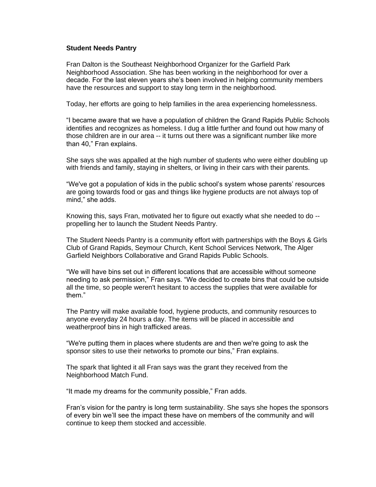## **Student Needs Pantry**

Fran Dalton is the Southeast Neighborhood Organizer for the Garfield Park Neighborhood Association. She has been working in the neighborhood for over a decade. For the last eleven years she's been involved in helping community members have the resources and support to stay long term in the neighborhood.

Today, her efforts are going to help families in the area experiencing homelessness.

"I became aware that we have a population of children the Grand Rapids Public Schools identifies and recognizes as homeless. I dug a little further and found out how many of those children are in our area -- it turns out there was a significant number like more than 40," Fran explains.

She says she was appalled at the high number of students who were either doubling up with friends and family, staying in shelters, or living in their cars with their parents.

"We've got a population of kids in the public school's system whose parents' resources are going towards food or gas and things like hygiene products are not always top of mind," she adds.

Knowing this, says Fran, motivated her to figure out exactly what she needed to do - propelling her to launch the Student Needs Pantry.

The Student Needs Pantry is a community effort with partnerships with the Boys & Girls Club of Grand Rapids, Seymour Church, Kent School Services Network, The Alger Garfield Neighbors Collaborative and Grand Rapids Public Schools.

"We will have bins set out in different locations that are accessible without someone needing to ask permission," Fran says. "We decided to create bins that could be outside all the time, so people weren't hesitant to access the supplies that were available for them."

The Pantry will make available food, hygiene products, and community resources to anyone everyday 24 hours a day. The items will be placed in accessible and weatherproof bins in high trafficked areas.

"We're putting them in places where students are and then we're going to ask the sponsor sites to use their networks to promote our bins," Fran explains.

The spark that lighted it all Fran says was the grant they received from the Neighborhood Match Fund.

"It made my dreams for the community possible," Fran adds.

Fran's vision for the pantry is long term sustainability. She says she hopes the sponsors of every bin we'll see the impact these have on members of the community and will continue to keep them stocked and accessible.